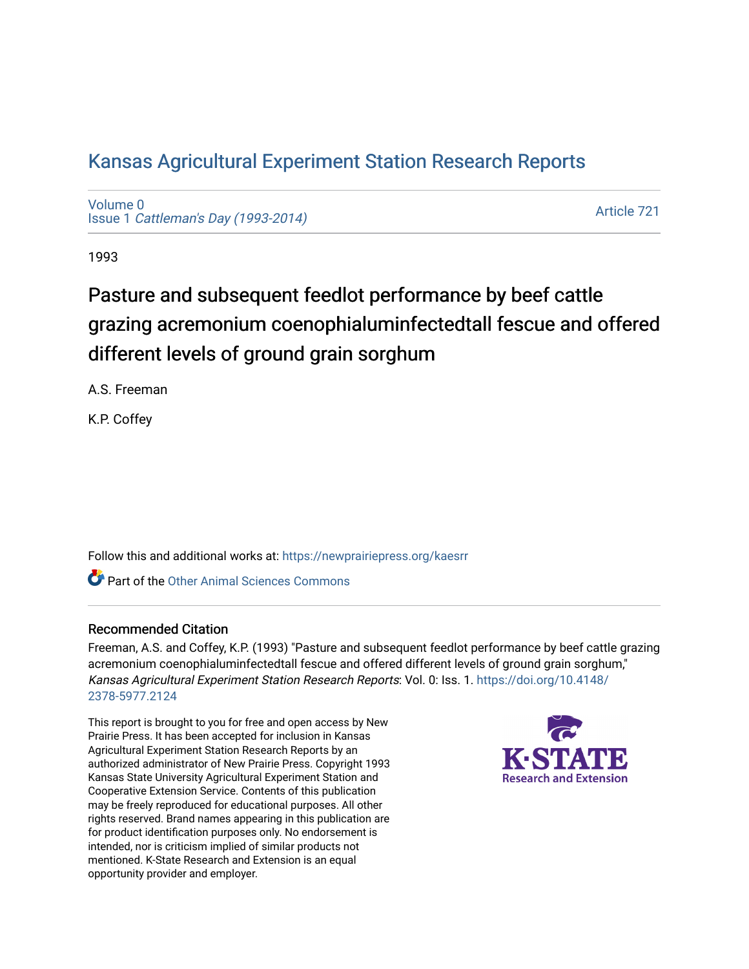## [Kansas Agricultural Experiment Station Research Reports](https://newprairiepress.org/kaesrr)

[Volume 0](https://newprairiepress.org/kaesrr/vol0) Issue 1 [Cattleman's Day \(1993-2014\)](https://newprairiepress.org/kaesrr/vol0/iss1) 

[Article 721](https://newprairiepress.org/kaesrr/vol0/iss1/721) 

1993

# Pasture and subsequent feedlot performance by beef cattle grazing acremonium coenophialuminfectedtall fescue and offered different levels of ground grain sorghum

A.S. Freeman

K.P. Coffey

Follow this and additional works at: [https://newprairiepress.org/kaesrr](https://newprairiepress.org/kaesrr?utm_source=newprairiepress.org%2Fkaesrr%2Fvol0%2Fiss1%2F721&utm_medium=PDF&utm_campaign=PDFCoverPages) 

Part of the [Other Animal Sciences Commons](http://network.bepress.com/hgg/discipline/82?utm_source=newprairiepress.org%2Fkaesrr%2Fvol0%2Fiss1%2F721&utm_medium=PDF&utm_campaign=PDFCoverPages)

#### Recommended Citation

Freeman, A.S. and Coffey, K.P. (1993) "Pasture and subsequent feedlot performance by beef cattle grazing acremonium coenophialuminfectedtall fescue and offered different levels of ground grain sorghum," Kansas Agricultural Experiment Station Research Reports: Vol. 0: Iss. 1. [https://doi.org/10.4148/](https://doi.org/10.4148/2378-5977.2124) [2378-5977.2124](https://doi.org/10.4148/2378-5977.2124) 

This report is brought to you for free and open access by New Prairie Press. It has been accepted for inclusion in Kansas Agricultural Experiment Station Research Reports by an authorized administrator of New Prairie Press. Copyright 1993 Kansas State University Agricultural Experiment Station and Cooperative Extension Service. Contents of this publication may be freely reproduced for educational purposes. All other rights reserved. Brand names appearing in this publication are for product identification purposes only. No endorsement is intended, nor is criticism implied of similar products not mentioned. K-State Research and Extension is an equal opportunity provider and employer.

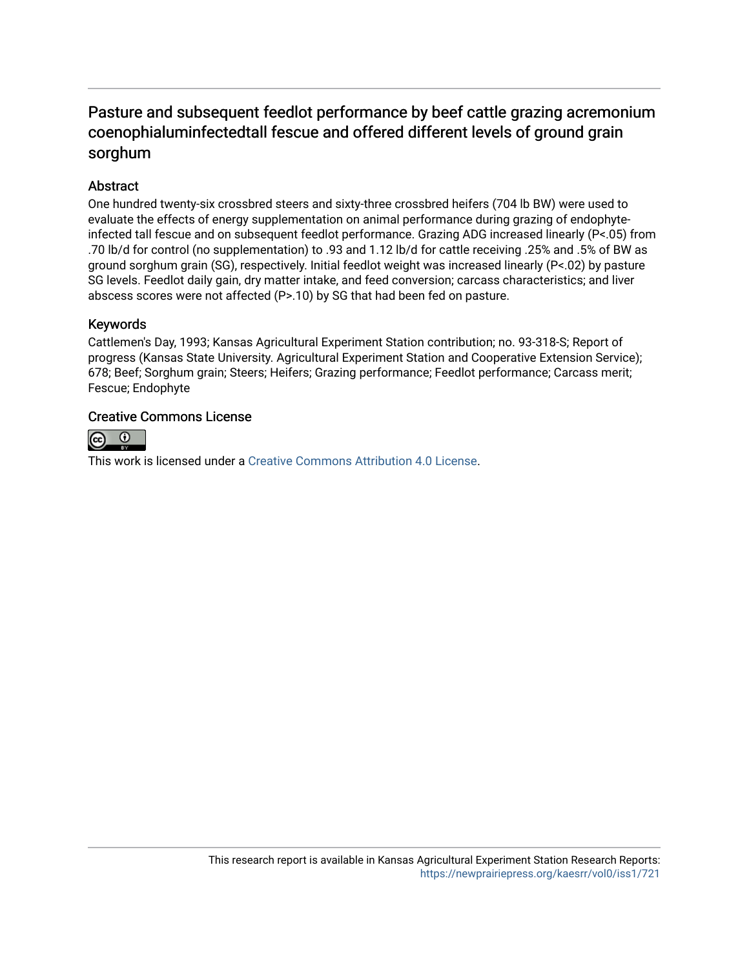### Pasture and subsequent feedlot performance by beef cattle grazing acremonium coenophialuminfectedtall fescue and offered different levels of ground grain sorghum

#### **Abstract**

One hundred twenty-six crossbred steers and sixty-three crossbred heifers (704 lb BW) were used to evaluate the effects of energy supplementation on animal performance during grazing of endophyteinfected tall fescue and on subsequent feedlot performance. Grazing ADG increased linearly (P<.05) from .70 lb/d for control (no supplementation) to .93 and 1.12 lb/d for cattle receiving .25% and .5% of BW as ground sorghum grain (SG), respectively. Initial feedlot weight was increased linearly (P<.02) by pasture SG levels. Feedlot daily gain, dry matter intake, and feed conversion; carcass characteristics; and liver abscess scores were not affected (P>.10) by SG that had been fed on pasture.

#### Keywords

Cattlemen's Day, 1993; Kansas Agricultural Experiment Station contribution; no. 93-318-S; Report of progress (Kansas State University. Agricultural Experiment Station and Cooperative Extension Service); 678; Beef; Sorghum grain; Steers; Heifers; Grazing performance; Feedlot performance; Carcass merit; Fescue; Endophyte

#### Creative Commons License



This work is licensed under a [Creative Commons Attribution 4.0 License](https://creativecommons.org/licenses/by/4.0/).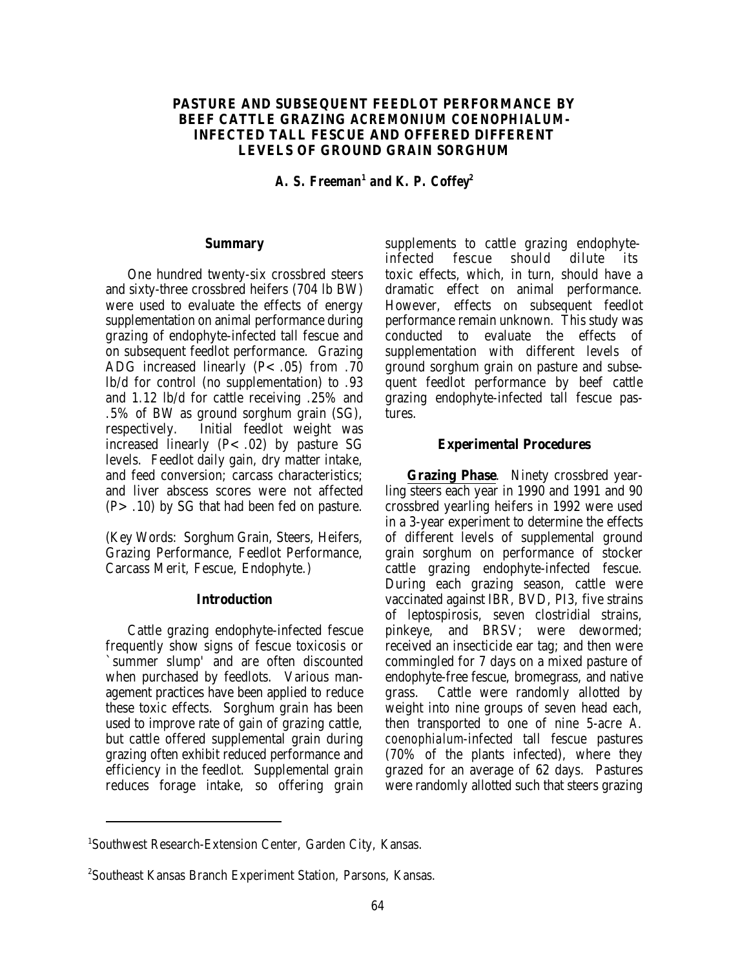#### **PASTURE AND SUBSEQUENT FEEDLOT PERFORMANCE BY BEEF CATTLE GRAZING** *ACREMONIUM COENOPHIALUM***-INFECTED TALL FESCUE AND OFFERED DIFFERENT LEVELS OF GROUND GRAIN SORGHUM**

*A. S. Freeman<sup>1</sup> and K. P. Coffey*<sup>2</sup>

#### **Summary**

One hundred twenty-six crossbred steers and sixty-three crossbred heifers (704 lb BW) were used to evaluate the effects of energy supplementation on animal performance during grazing of endophyte-infected tall fescue and on subsequent feedlot performance. Grazing ADG increased linearly  $(P < .05)$  from .70 lb/d for control (no supplementation) to .93 and 1.12 lb/d for cattle receiving .25% and .5% of BW as ground sorghum grain (SG), respectively. Initial feedlot weight was increased linearly  $(P<.02)$  by pasture SG levels. Feedlot daily gain, dry matter intake, and feed conversion; carcass characteristics; and liver abscess scores were not affected  $(P > .10)$  by SG that had been fed on pasture.

(Key Words: Sorghum Grain, Steers, Heifers, Grazing Performance, Feedlot Performance, Carcass Merit, Fescue, Endophyte.)

#### **Introduction**

Cattle grazing endophyte-infected fescue frequently show signs of fescue toxicosis or `summer slump' and are often discounted when purchased by feedlots. Various management practices have been applied to reduce these toxic effects. Sorghum grain has been used to improve rate of gain of grazing cattle, but cattle offered supplemental grain during grazing often exhibit reduced performance and efficiency in the feedlot. Supplemental grain reduces forage intake, so offering grain

supplements to cattle grazing endophyteinfected fescue should dilute its toxic effects, which, in turn, should have a dramatic effect on animal performance. However, effects on subsequent feedlot performance remain unknown. This study was conducted to evaluate the effects of supplementation with different levels of ground sorghum grain on pasture and subsequent feedlot performance by beef cattle grazing endophyte-infected tall fescue pastures.

#### **Experimental Procedures**

**Grazing Phase**. Ninety crossbred yearling steers each year in 1990 and 1991 and 90 crossbred yearling heifers in 1992 were used in a 3-year experiment to determine the effects of different levels of supplemental ground grain sorghum on performance of stocker cattle grazing endophyte-infected fescue. During each grazing season, cattle were vaccinated against IBR, BVD, PI3, five strains of leptospirosis, seven clostridial strains, pinkeye, and BRSV; were dewormed; received an insecticide ear tag; and then were commingled for 7 days on a mixed pasture of endophyte-free fescue, bromegrass, and native grass. Cattle were randomly allotted by weight into nine groups of seven head each, then transported to one of nine 5-acre *A. coenophialum*-infected tall fescue pastures (70% of the plants infected), where they grazed for an average of 62 days. Pastures were randomly allotted such that steers grazing

<sup>&</sup>lt;sup>1</sup>Southwest Research-Extension Center, Garden City, Kansas.

Southeast Kansas Branch Experiment Station, Parsons, Kansas. <sup>2</sup>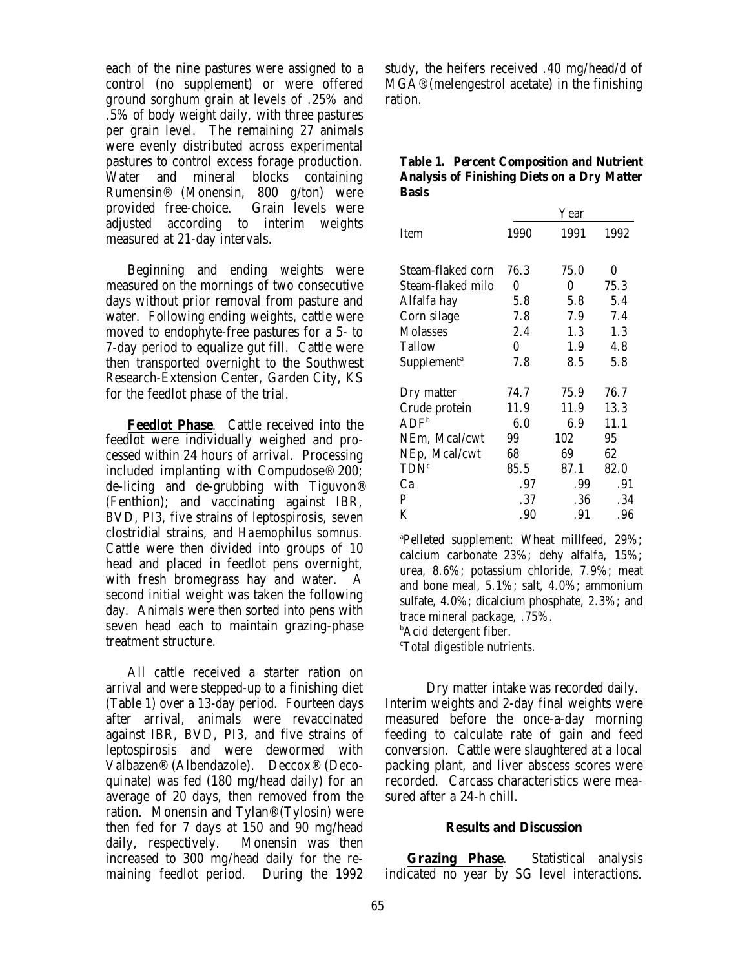each of the nine pastures were assigned to a control (no supplement) or were offered ground sorghum grain at levels of .25% and .5% of body weight daily, with three pastures per grain level. The remaining 27 animals were evenly distributed across experimental pastures to control excess forage production. Water and mineral blocks containing Rumensin® (Monensin, 800 g/ton) were provided free-choice. Grain levels were adjusted according to interim weights measured at 21-day intervals.

Beginning and ending weights were measured on the mornings of two consecutive days without prior removal from pasture and water. Following ending weights, cattle were moved to endophyte-free pastures for a 5- to 7-day period to equalize gut fill. Cattle were then transported overnight to the Southwest Research-Extension Center, Garden City, KS for the feedlot phase of the trial.

**Feedlot Phase**. Cattle received into the feedlot were individually weighed and processed within 24 hours of arrival. Processing included implanting with Compudose® 200; de-licing and de-grubbing with Tiguvon® (Fenthion); and vaccinating against IBR, BVD, PI3, five strains of leptospirosis, seven clostridial strains, and *Haemophilus somnus*. Cattle were then divided into groups of 10 head and placed in feedlot pens overnight, with fresh bromegrass hay and water. A second initial weight was taken the following day. Animals were then sorted into pens with seven head each to maintain grazing-phase treatment structure.

All cattle received a starter ration on arrival and were stepped-up to a finishing diet Dry matter intake was recorded daily. (Table 1) over a 13-day period. Fourteen days after arrival, animals were revaccinated against IBR, BVD, PI3, and five strains of leptospirosis and were dewormed with Valbazen® (Albendazole). Deccox® (Decoquinate) was fed (180 mg/head daily) for an average of 20 days, then removed from the ration. Monensin and Tylan® (Tylosin) were then fed for 7 days at 150 and 90 mg/head daily, respectively. Monensin was then increased to 300 mg/head daily for the remaining feedlot period. During the 1992

study, the heifers received .40 mg/head/d of MGA® (melengestrol acetate) in the finishing ration.

|              | <b>Table 1. Percent Composition and Nutrient</b>   |
|--------------|----------------------------------------------------|
|              | <b>Analysis of Finishing Diets on a Dry Matter</b> |
| <b>Basis</b> |                                                    |

|                         |      | Year |      |
|-------------------------|------|------|------|
| Item                    | 1990 | 1991 | 1992 |
| Steam-flaked corn       | 76.3 | 75.0 | 0    |
| Steam-flaked milo       | 0    | 0    | 75.3 |
| Alfalfa hay             | 5.8  | 5.8  | 5.4  |
| Corn silage             | 7.8  | 7.9  | 7.4  |
| <b>Molasses</b>         | 2.4  | 1.3  | 1.3  |
| <b>Tallow</b>           | 0    | 1.9  | 4.8  |
| Supplement <sup>a</sup> | 7.8  | 8.5  | 5.8  |
| Dry matter              | 74.7 | 75.9 | 76.7 |
| Crude protein           | 11.9 | 11.9 | 13.3 |
| ADF <sup>b</sup>        | 6.0  | 6.9  | 11.1 |
| NEm, Mcal/cwt           | 99   | 102  | 95   |
| NEp, Mcal/cwt           | 68   | 69   | 62   |
| TDN <sup>c</sup>        | 85.5 | 87.1 | 82.0 |
| Ca                      | .97  | .99  | .91  |
| P                       | .37  | .36  | .34  |
| K                       | .90  | .91  | .96  |

<sup>a</sup>Pelleted supplement: Wheat millfeed, 29%; calcium carbonate 23%; dehy alfalfa, 15%; urea, 8.6%; potassium chloride, 7.9%; meat and bone meal, 5.1%; salt, 4.0%; ammonium sulfate, 4.0%; dicalcium phosphate, 2.3%; and trace mineral package, .75%.

 $<sup>b</sup>$ Acid detergent fiber.</sup>

<sup>c</sup>Total digestible nutrients.

Interim weights and 2-day final weights were measured before the once-a-day morning feeding to calculate rate of gain and feed conversion. Cattle were slaughtered at a local packing plant, and liver abscess scores were recorded. Carcass characteristics were measured after a 24-h chill.

#### **Results and Discussion**

**Grazing Phase**. Statistical analysis indicated no year by SG level interactions.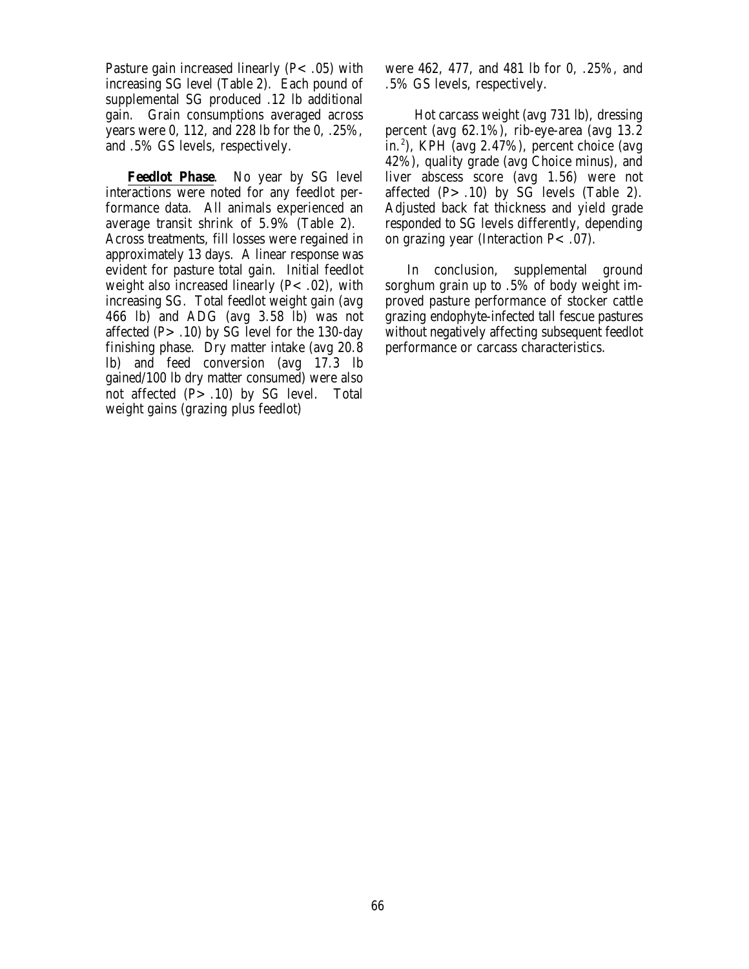Pasture gain increased linearly  $(P<.05)$  with increasing SG level (Table 2). Each pound of supplemental SG produced .12 lb additional gain. Grain consumptions averaged across years were 0, 112, and 228 lb for the 0, .25%, and .5% GS levels, respectively.

**Feedlot Phase**. No year by SG level interactions were noted for any feedlot performance data. All animals experienced an average transit shrink of 5.9% (Table 2). Across treatments, fill losses were regained in approximately 13 days. A linear response was evident for pasture total gain. Initial feedlot weight also increased linearly  $(P<.02)$ , with increasing SG. Total feedlot weight gain (avg 466 lb) and ADG (avg 3.58 lb) was not affected  $(P > .10)$  by SG level for the 130-day finishing phase. Dry matter intake (avg 20.8 lb) and feed conversion (avg 17.3 lb gained/100 lb dry matter consumed) were also not affected  $(P > .10)$  by SG level. Total weight gains (grazing plus feedlot)

were 462, 477, and 481 lb for 0, .25%, and .5% GS levels, respectively.

 Hot carcass weight (avg 731 lb), dressing percent (avg 62.1%), rib-eye-area (avg 13.2 in.<sup>2</sup>), KPH (avg 2.47%), percent choice (avg 42%), quality grade (avg Choice minus), and liver abscess score (avg 1.56) were not affected  $(P > .10)$  by SG levels (Table 2). Adjusted back fat thickness and yield grade responded to SG levels differently, depending on grazing year (Interaction  $P<.07$ ).

In conclusion, supplemental ground sorghum grain up to .5% of body weight improved pasture performance of stocker cattle grazing endophyte-infected tall fescue pastures without negatively affecting subsequent feedlot performance or carcass characteristics.